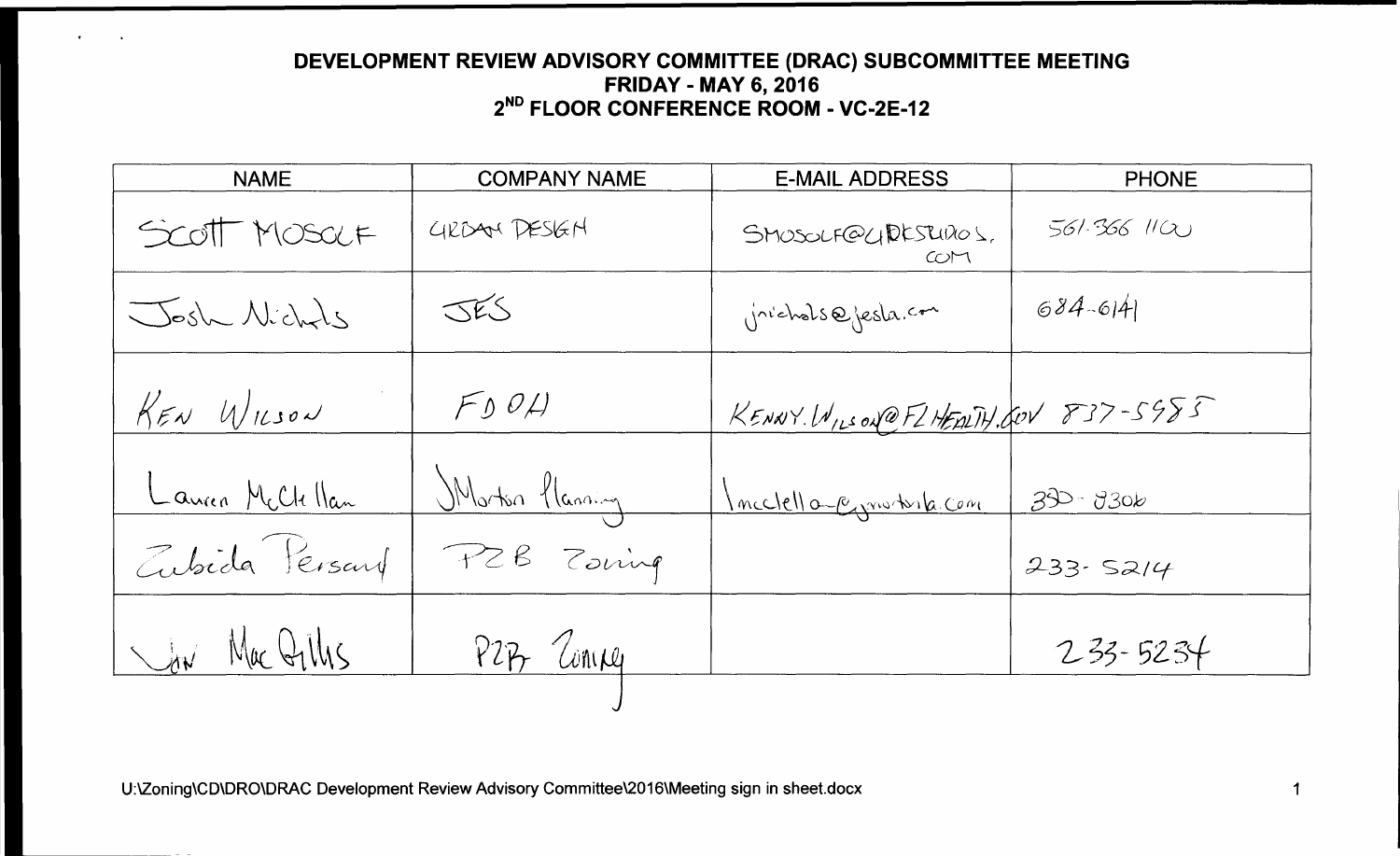| <b>NAME</b>     | <b>COMPANY NAME</b> | <b>E-MAIL ADDRESS</b>                | <b>PHONE</b> |
|-----------------|---------------------|--------------------------------------|--------------|
| SCOTT MOSOLF    | GROAM DESKA         | SMOSOLF@URESTUROS.<br>COM            | 561-366 1100 |
| Josh Nichels    | JES                 | inichals@jesla.com                   | $684 - 614$  |
| $K_F$ N WILSON  | FLOU                | KENNY. WILSON@FZHEALTH. GOV 837-5985 |              |
| Lancen McCkllan | Morton Planning     | incelella conventionale              | $39 - 9306$  |
| Eubida Persant  | PZB Zaring          |                                      | 233.5214     |
| Van MacGillis   | PZZ Compy           |                                      | $233 - 5234$ |
|                 |                     |                                      |              |

 $\mathbf{v}$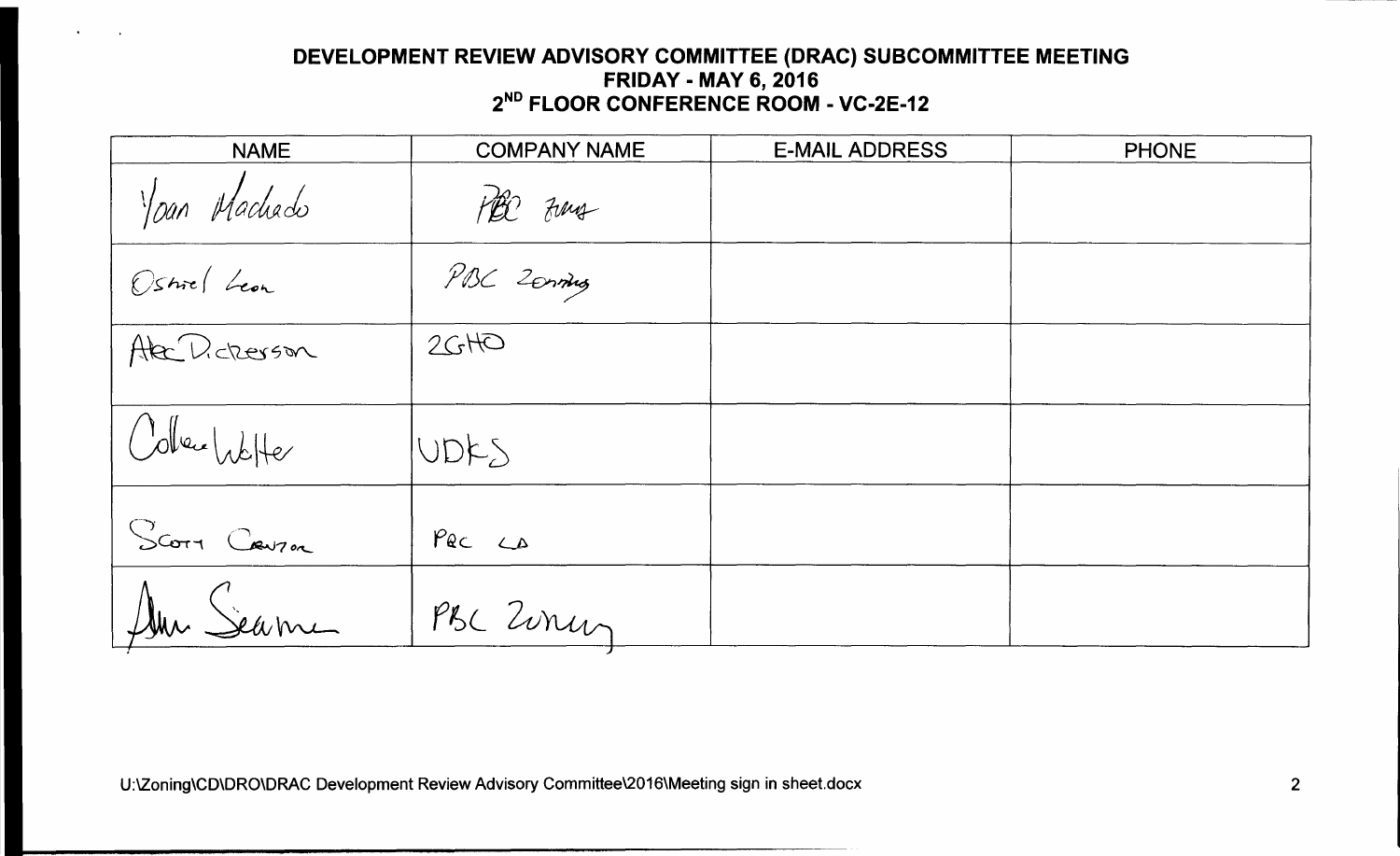| <b>NAME</b>   | <b>COMPANY NAME</b> | <b>E-MAIL ADDRESS</b> | <b>PHONE</b> |
|---------------|---------------------|-----------------------|--------------|
| Yoan Machado  | PEC Zung            |                       |              |
| Ostrick Leon  | PBC Zerring         |                       |              |
| Akc Dickerson | 2GHO                |                       |              |
| Collectubile  | UDKS                |                       |              |
| SCOTT CONTOR  | Pec CD              |                       |              |
| Au Seame      | PBC Zurun           |                       |              |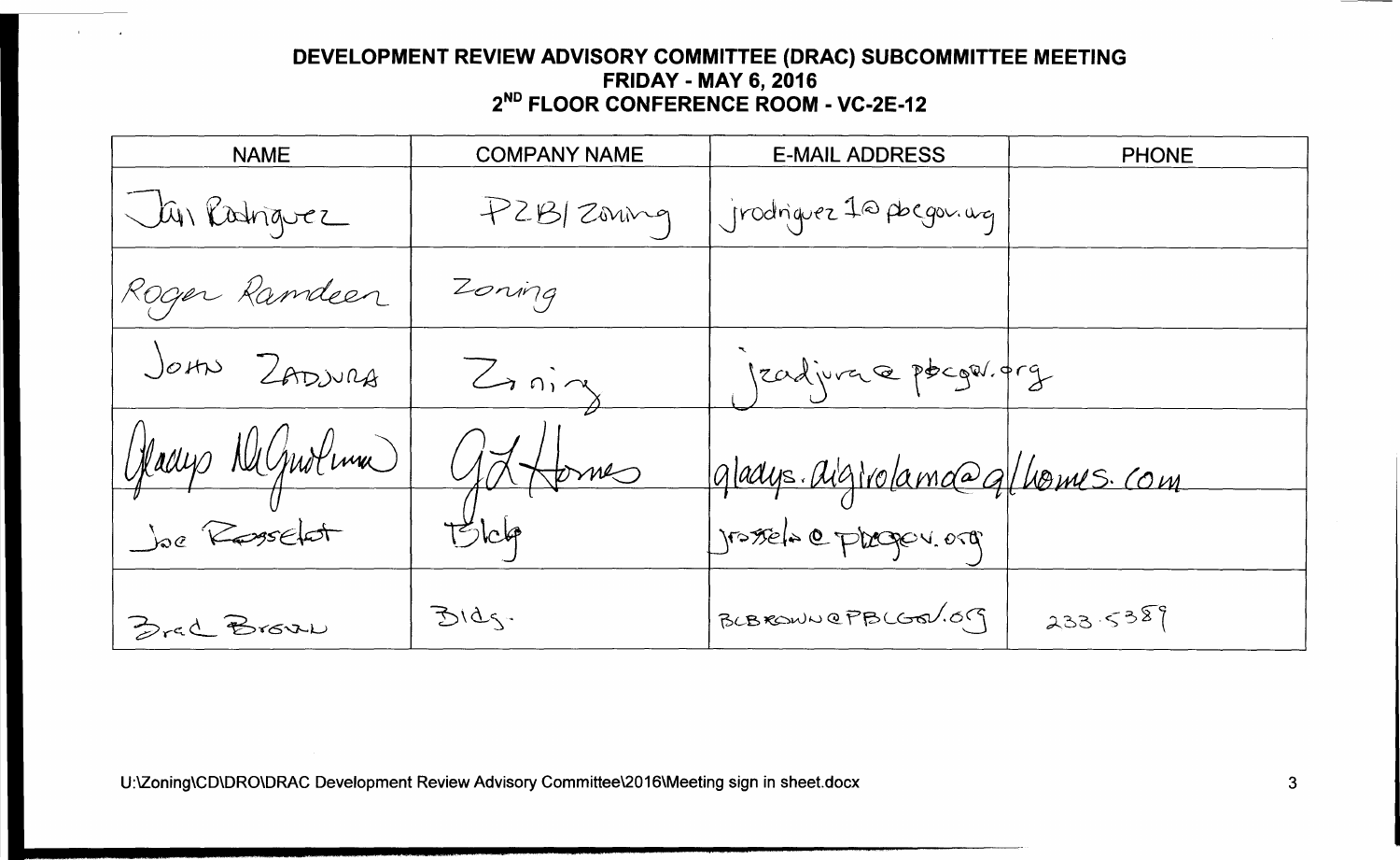| <b>NAME</b>      | <b>COMPANY NAME</b> | <b>E-MAIL ADDRESS</b>           | <b>PHONE</b> |
|------------------|---------------------|---------------------------------|--------------|
| La Rodriguez     | PZBIZoning          | jrodniquez 10 pbcgou.org        |              |
| Roger Ramdeer    | Zoning              |                                 |              |
| JOHN ZADNAA      | $Z$ ning            | jeadjura a pocoar drg           |              |
| Gladys Nagnolina | $Q\overline{\chi}$  | gladys. Algirolama@gllomes. com |              |
| Joe Rosselet     | H                   | Jossel e proger.org             |              |
| Brad Brown       | BldS                | BLBROWN @PBCGQ.09               | 233.538      |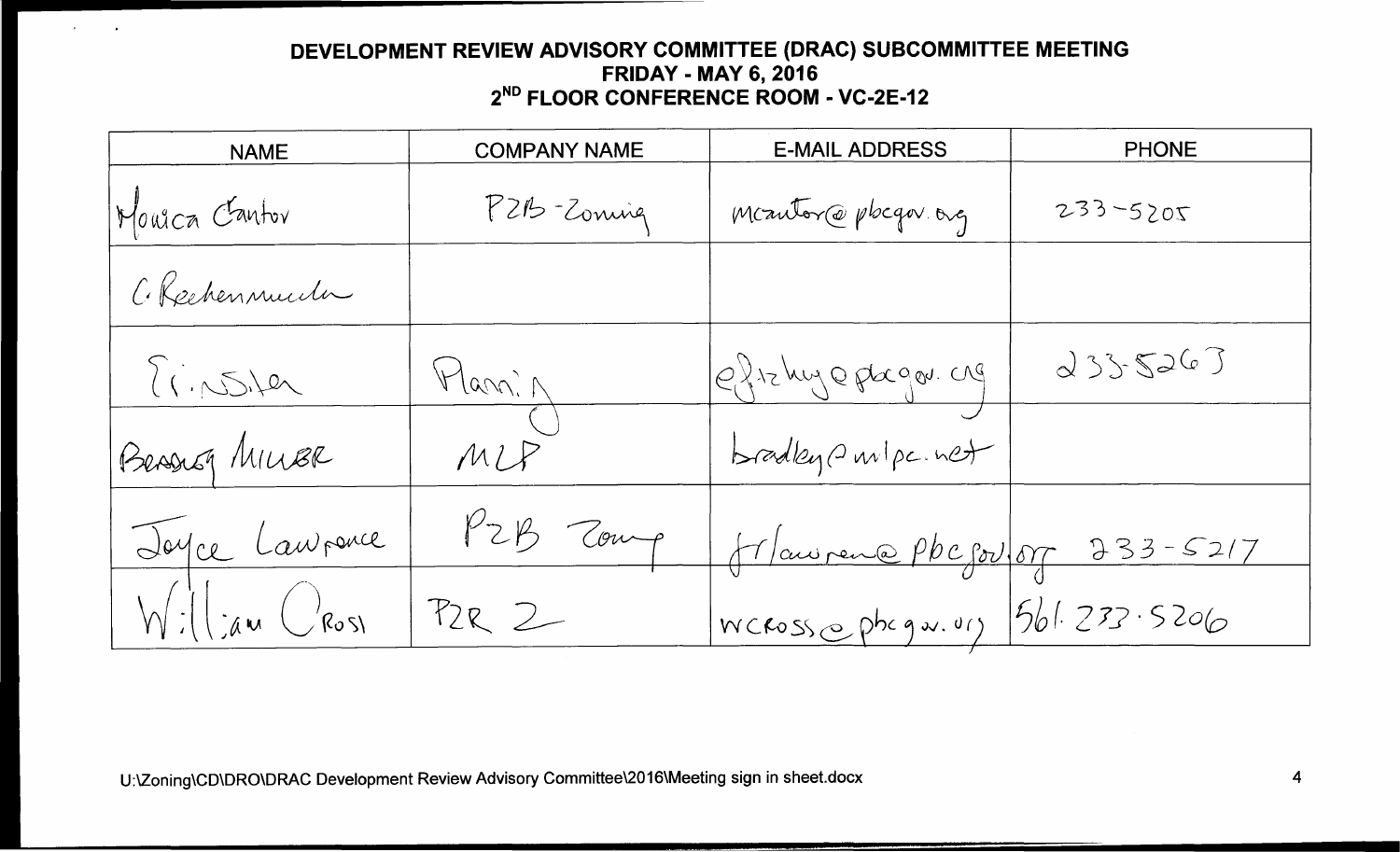| <b>NAME</b>                                                                                                                                                                                                                                                                                          | <b>COMPANY NAME</b> | <b>E-MAIL ADDRESS</b>         | <b>PHONE</b> |
|------------------------------------------------------------------------------------------------------------------------------------------------------------------------------------------------------------------------------------------------------------------------------------------------------|---------------------|-------------------------------|--------------|
| Mourca Cantor                                                                                                                                                                                                                                                                                        | P2B-Zoning          | Meantor@pbcgar.org            | 233-5205     |
| C. Rechenmucha                                                                                                                                                                                                                                                                                       |                     |                               |              |
| 25.10                                                                                                                                                                                                                                                                                                | Marni N             | Of12 huge plager. ag          | 2335267      |
| Bensing MINER                                                                                                                                                                                                                                                                                        | MLP                 | bradley (2 mlpc. net          |              |
| Joyce Lawrence                                                                                                                                                                                                                                                                                       | PZB Zour            | A aurence Pbc soulog 233-5217 |              |
| $W:$ $\Big($ $\Big($ $\Big)$ $\Big($ $\Big)$ $\Big($ $\Big)$ $\Big($ $\Big($ $\Big)$ $\Big($ $\Big)$ $\Big($ $\Big)$ $\Big($ $\Big)$ $\Big($ $\Big)$ $\Big($ $\Big)$ $\Big($ $\Big)$ $\Big($ $\Big)$ $\Big($ $\Big)$ $\Big($ $\Big)$ $\Big($ $\Big)$ $\Big($ $\Big)$ $\Big($ $\Big)$ $\Big($ $\Big)$ | P2R2                | WCROSSephegw.01) 561.233.5206 |              |